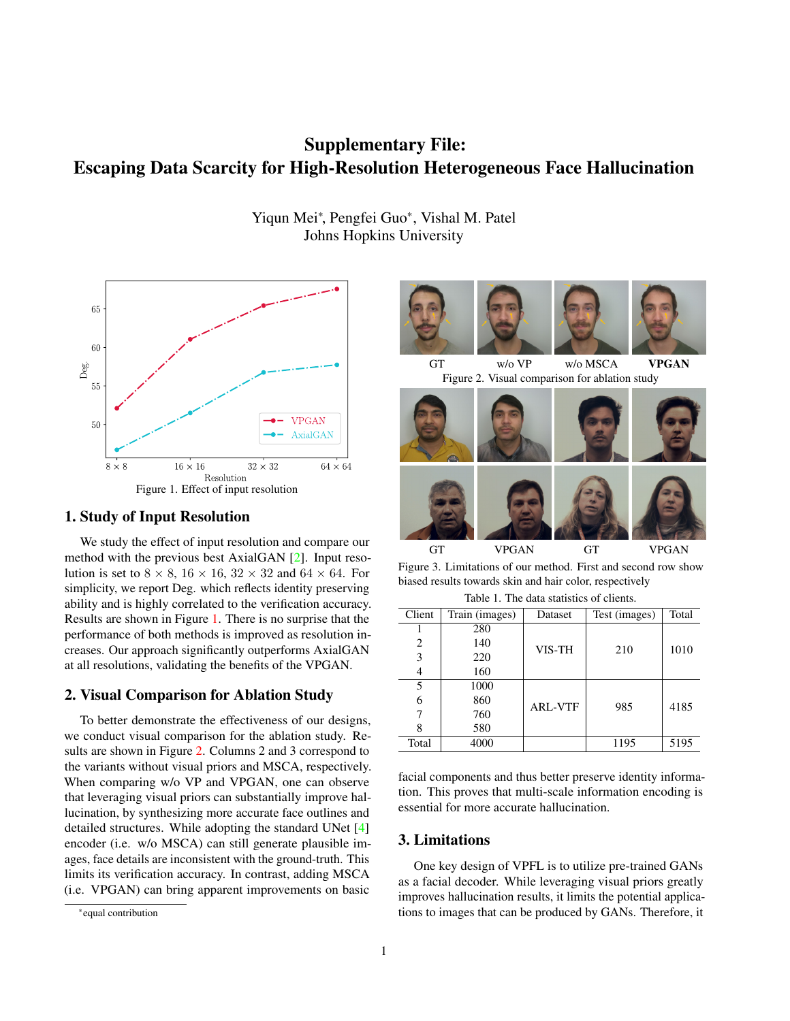# Supplementary File: Escaping Data Scarcity for High-Resolution Heterogeneous Face Hallucination

Yiqun Mei\*, Pengfei Guo\*, Vishal M. Patel Johns Hopkins University



# 1. Study of Input Resolution

We study the effect of input resolution and compare our method with the previous best AxialGAN [2]. Input resolution is set to  $8 \times 8$ ,  $16 \times 16$ ,  $32 \times 32$  and  $64 \times 64$ . For simplicity, we report Deg. which reflects identity preserving ability and is highly correlated to the verification accuracy. Results are shown in Figure 1. There is no surprise that the performance of both methods is improved as resolution increases. Our approach significantly outperforms AxialGAN at all resolutions, validating the benefits of the VPGAN.

### 2. Visual Comparison for Ablation Study

To better demonstrate the effectiveness of our designs, we conduct visual comparison for the ablation study. Results are shown in Figure 2. Columns 2 and 3 correspond to the variants without visual priors and MSCA, respectively. When comparing w/o VP and VPGAN, one can observe that leveraging visual priors can substantially improve hallucination, by synthesizing more accurate face outlines and detailed structures. While adopting the standard UNet [4] encoder (i.e. w/o MSCA) can still generate plausible images, face details are inconsistent with the ground-truth. This limits its verification accuracy. In contrast, adding MSCA (i.e. VPGAN) can bring apparent improvements on basic



GT VPGAN GT VPGAN Figure 3. Limitations of our method. First and second row show biased results towards skin and hair color, respectively

Table 1. The data statistics of clients.

| Client | Train (images) | Dataset        | Test (images) | Total |
|--------|----------------|----------------|---------------|-------|
|        | 280            |                |               |       |
| 2      | 140            | VIS-TH         | 210           | 1010  |
| 3      | 220            |                |               |       |
| 4      | 160            |                |               |       |
| 5      | 1000           | <b>ARL-VTF</b> | 985           |       |
| 6      | 860            |                |               | 4185  |
|        | 760            |                |               |       |
| 8      | 580            |                |               |       |
| Total  | 4000           |                | 1195          | 5195  |

facial components and thus better preserve identity information. This proves that multi-scale information encoding is essential for more accurate hallucination.

## 3. Limitations

One key design of VPFL is to utilize pre-trained GANs as a facial decoder. While leveraging visual priors greatly improves hallucination results, it limits the potential applications to images that can be produced by GANs. Therefore, it

<sup>\*</sup>equal contribution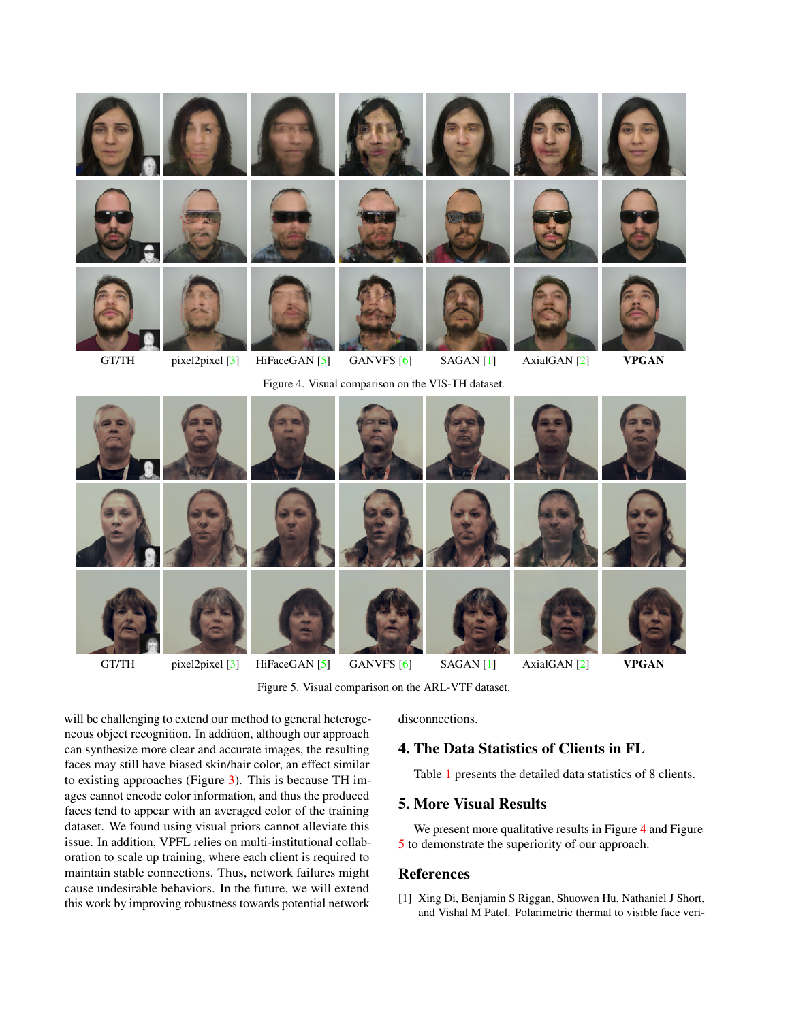

Figure 5. Visual comparison on the ARL-VTF dataset.

will be challenging to extend our method to general heterogeneous object recognition. In addition, although our approach can synthesize more clear and accurate images, the resulting faces may still have biased skin/hair color, an effect similar to existing approaches (Figure 3). This is because TH images cannot encode color information, and thus the produced faces tend to appear with an averaged color of the training dataset. We found using visual priors cannot alleviate this issue. In addition, VPFL relies on multi-institutional collaboration to scale up training, where each client is required to maintain stable connections. Thus, network failures might cause undesirable behaviors. In the future, we will extend this work by improving robustness towards potential network disconnections.

# 4. The Data Statistics of Clients in FL

Table 1 presents the detailed data statistics of 8 clients.

# 5. More Visual Results

We present more qualitative results in Figure 4 and Figure 5 to demonstrate the superiority of our approach.

#### References

[1] Xing Di, Benjamin S Riggan, Shuowen Hu, Nathaniel J Short, and Vishal M Patel. Polarimetric thermal to visible face veri-